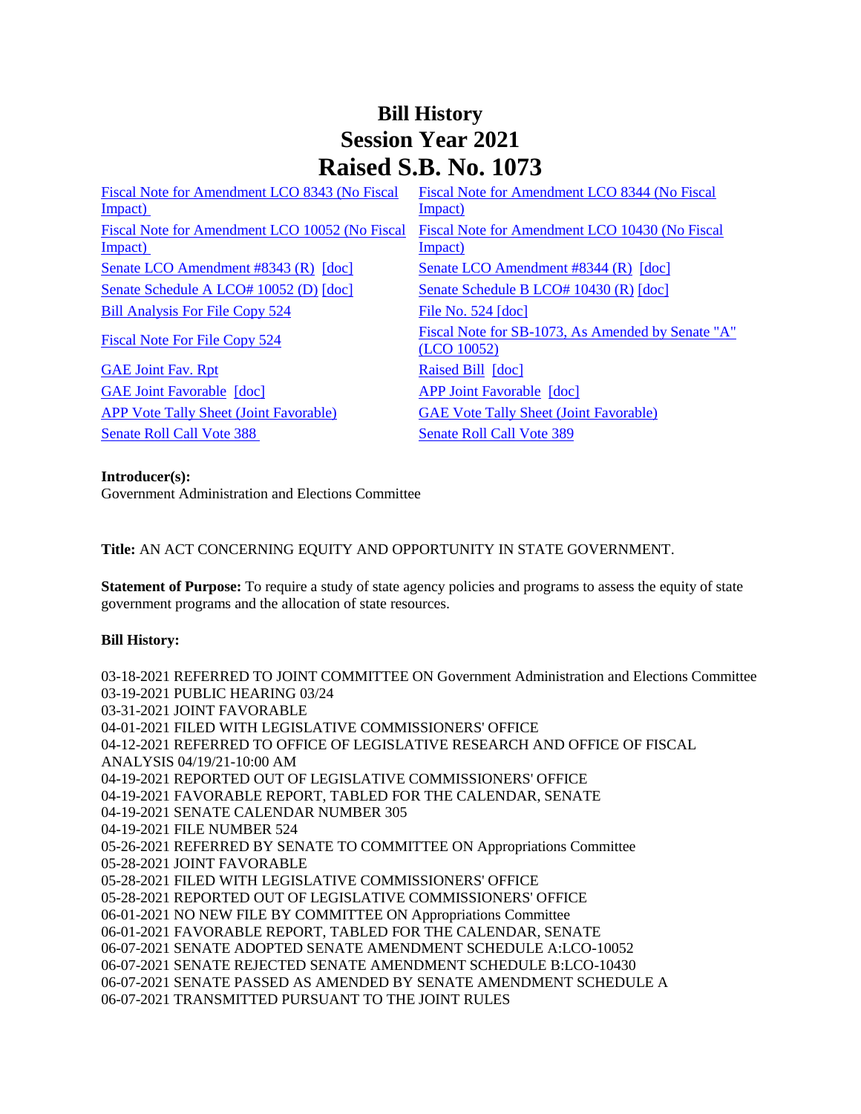## **Bill History Session Year 2021 Raised S.B. No. 1073**

| Impact)<br>Impact)<br>Fiscal Note for Amendment LCO 10052 (No Fiscal<br>Fiscal Note for Amendment LCO 10430 (No Fiscal<br>Impact)<br>Impact)<br>Senate LCO Amendment #8343 $(R)$ $[doc]$<br>Senate LCO Amendment #8344 (R) [doc]<br>Senate Schedule A LCO# 10052 (D) [doc]<br>Senate Schedule B LCO# 10430 (R) [doc]<br><b>Bill Analysis For File Copy 524</b><br>File No. $524$ [doc]<br><b>Fiscal Note For File Copy 524</b><br>(LCO 10052) | Fiscal Note for Amendment LCO 8343 (No Fiscal | Fiscal Note for Amendment LCO 8344 (No Fiscal     |
|-----------------------------------------------------------------------------------------------------------------------------------------------------------------------------------------------------------------------------------------------------------------------------------------------------------------------------------------------------------------------------------------------------------------------------------------------|-----------------------------------------------|---------------------------------------------------|
|                                                                                                                                                                                                                                                                                                                                                                                                                                               |                                               |                                                   |
|                                                                                                                                                                                                                                                                                                                                                                                                                                               |                                               |                                                   |
|                                                                                                                                                                                                                                                                                                                                                                                                                                               |                                               |                                                   |
|                                                                                                                                                                                                                                                                                                                                                                                                                                               |                                               |                                                   |
|                                                                                                                                                                                                                                                                                                                                                                                                                                               |                                               |                                                   |
|                                                                                                                                                                                                                                                                                                                                                                                                                                               |                                               |                                                   |
|                                                                                                                                                                                                                                                                                                                                                                                                                                               |                                               | Fiscal Note for SB-1073, As Amended by Senate "A" |
|                                                                                                                                                                                                                                                                                                                                                                                                                                               | <b>GAE Joint Fav. Rpt</b>                     | Raised Bill [doc]                                 |
| <b>GAE Joint Favorable [doc]</b><br><b>APP Joint Favorable [doc]</b>                                                                                                                                                                                                                                                                                                                                                                          |                                               |                                                   |
| <b>APP Vote Tally Sheet (Joint Favorable)</b><br><b>GAE Vote Tally Sheet (Joint Favorable)</b>                                                                                                                                                                                                                                                                                                                                                |                                               |                                                   |
| <b>Senate Roll Call Vote 388</b><br><b>Senate Roll Call Vote 389</b>                                                                                                                                                                                                                                                                                                                                                                          |                                               |                                                   |

## **Introducer(s):**

Government Administration and Elections Committee

**Title:** AN ACT CONCERNING EQUITY AND OPPORTUNITY IN STATE GOVERNMENT.

**Statement of Purpose:** To require a study of state agency policies and programs to assess the equity of state government programs and the allocation of state resources.

## **Bill History:**

03-18-2021 REFERRED TO JOINT COMMITTEE ON Government Administration and Elections Committee 03-19-2021 PUBLIC HEARING 03/24 03-31-2021 JOINT FAVORABLE 04-01-2021 FILED WITH LEGISLATIVE COMMISSIONERS' OFFICE 04-12-2021 REFERRED TO OFFICE OF LEGISLATIVE RESEARCH AND OFFICE OF FISCAL ANALYSIS 04/19/21-10:00 AM 04-19-2021 REPORTED OUT OF LEGISLATIVE COMMISSIONERS' OFFICE 04-19-2021 FAVORABLE REPORT, TABLED FOR THE CALENDAR, SENATE 04-19-2021 SENATE CALENDAR NUMBER 305 04-19-2021 FILE NUMBER 524 05-26-2021 REFERRED BY SENATE TO COMMITTEE ON Appropriations Committee 05-28-2021 JOINT FAVORABLE 05-28-2021 FILED WITH LEGISLATIVE COMMISSIONERS' OFFICE 05-28-2021 REPORTED OUT OF LEGISLATIVE COMMISSIONERS' OFFICE 06-01-2021 NO NEW FILE BY COMMITTEE ON Appropriations Committee 06-01-2021 FAVORABLE REPORT, TABLED FOR THE CALENDAR, SENATE 06-07-2021 SENATE ADOPTED SENATE AMENDMENT SCHEDULE A:LCO-10052 06-07-2021 SENATE REJECTED SENATE AMENDMENT SCHEDULE B:LCO-10430 06-07-2021 SENATE PASSED AS AMENDED BY SENATE AMENDMENT SCHEDULE A 06-07-2021 TRANSMITTED PURSUANT TO THE JOINT RULES